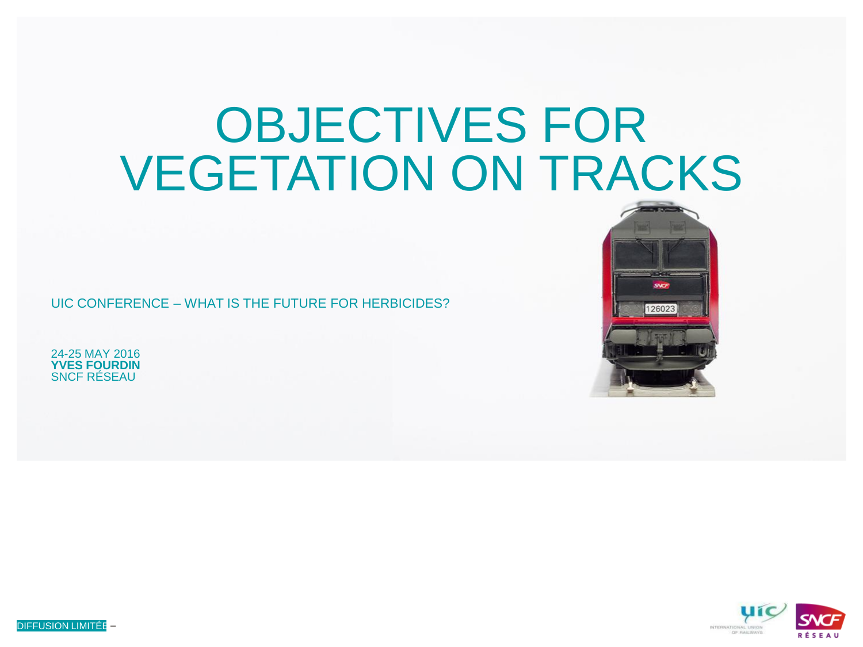# OBJECTIVES FOR VEGETATION ON TRACKS

UIC CONFERENCE – WHAT IS THE FUTURE FOR HERBICIDES?

24-25 MAY 2016 **YVES FOURDIN** SNCF RÉSEAU





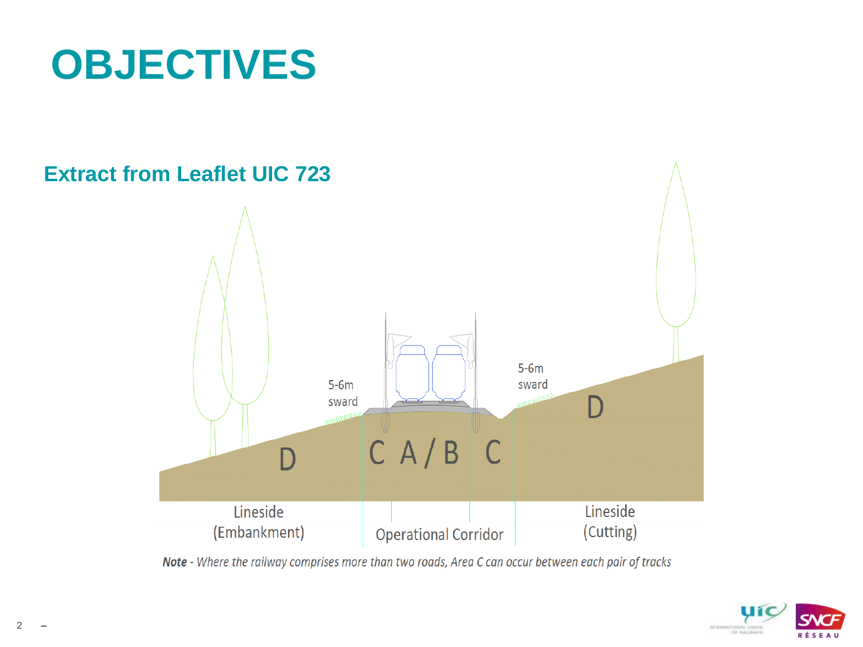## **OBJECTIVES**



Note - Where the railway comprises more than two roads, Area C can occur between each pair of tracks

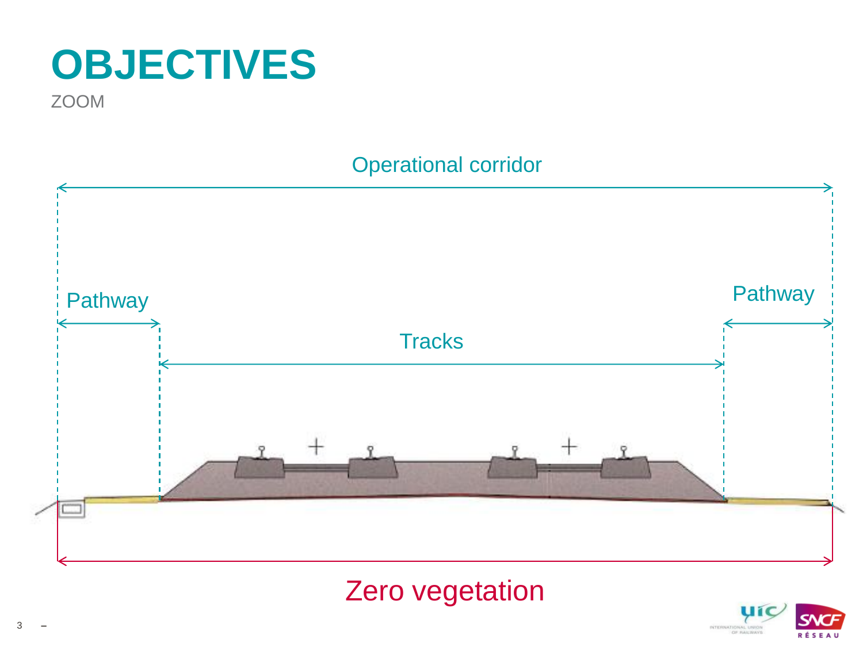## **OBJECTIVES**

**ZOOM** 

#### **Operational corridor**



#### Zero vegetation

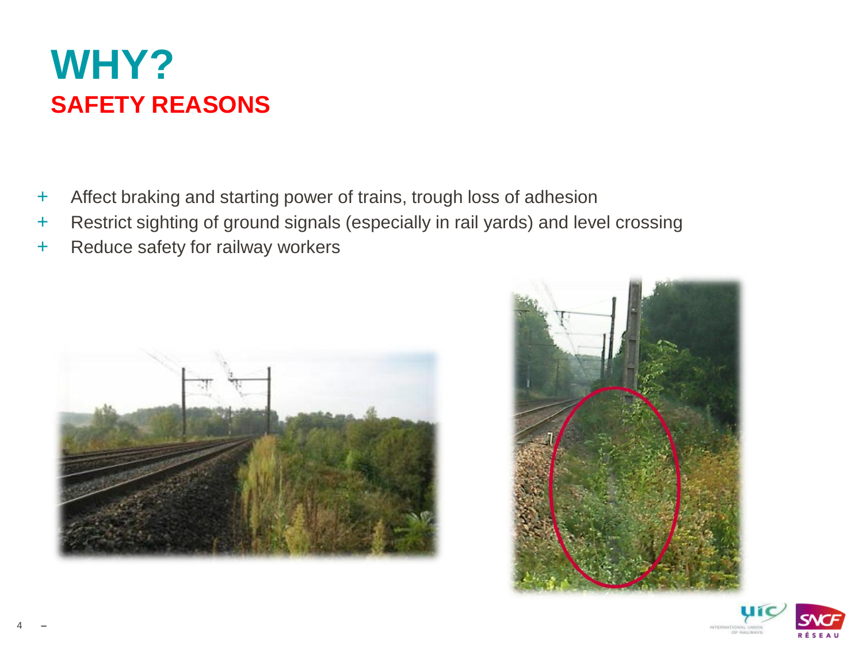### **WHY? SAFETY REASONS**

- + Affect braking and starting power of trains, trough loss of adhesion
- + Restrict sighting of ground signals (especially in rail yards) and level crossing
- + Reduce safety for railway workers





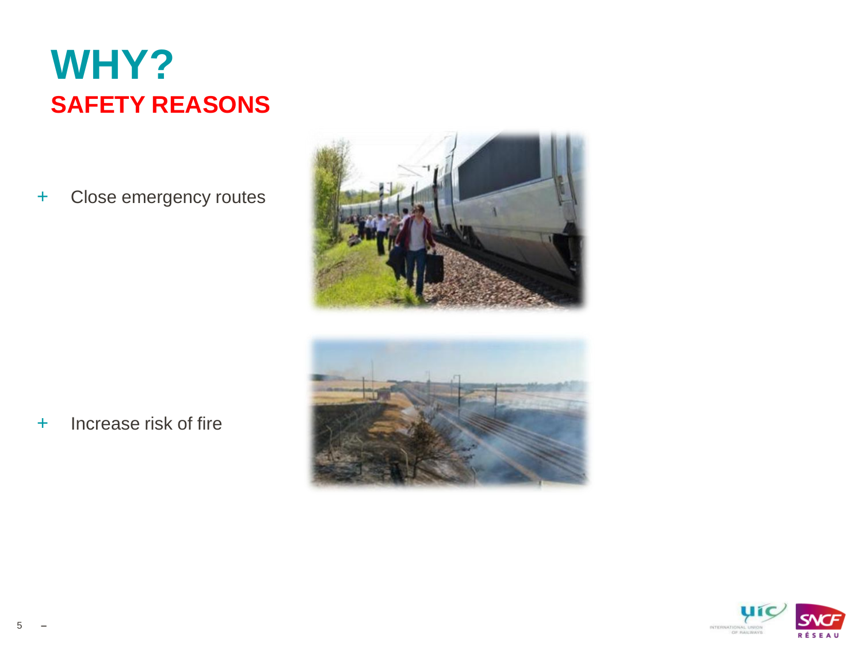## **WHY? SAFETY REASONS**

+ Close emergency routes





+ Increase risk of fire

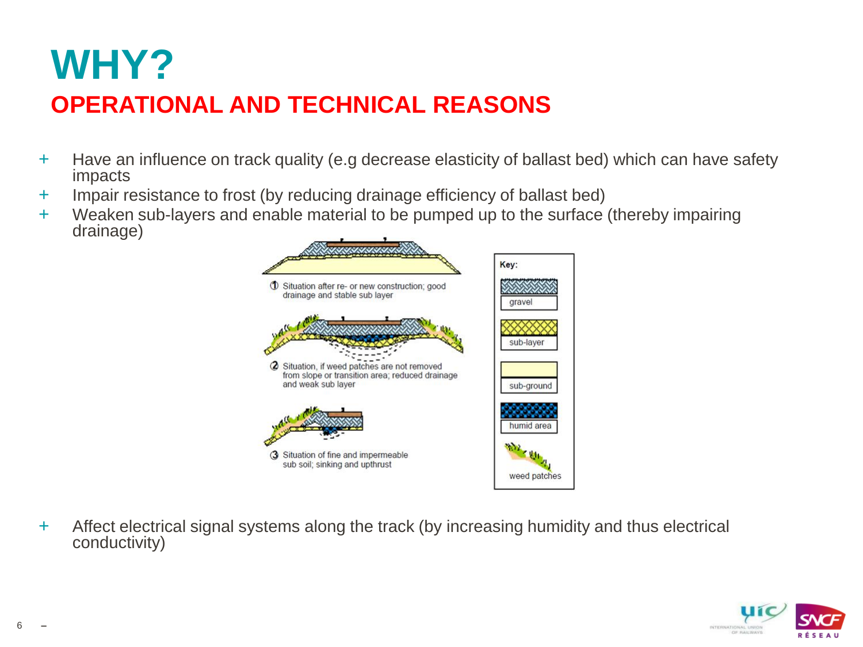## **WHY?**

#### **OPERATIONAL AND TECHNICAL REASONS**

- + Have an influence on track quality (e.g decrease elasticity of ballast bed) which can have safety impacts
- + Impair resistance to frost (by reducing drainage efficiency of ballast bed)
- + Weaken sub-layers and enable material to be pumped up to the surface (thereby impairing drainage)



+ Affect electrical signal systems along the track (by increasing humidity and thus electrical conductivity)

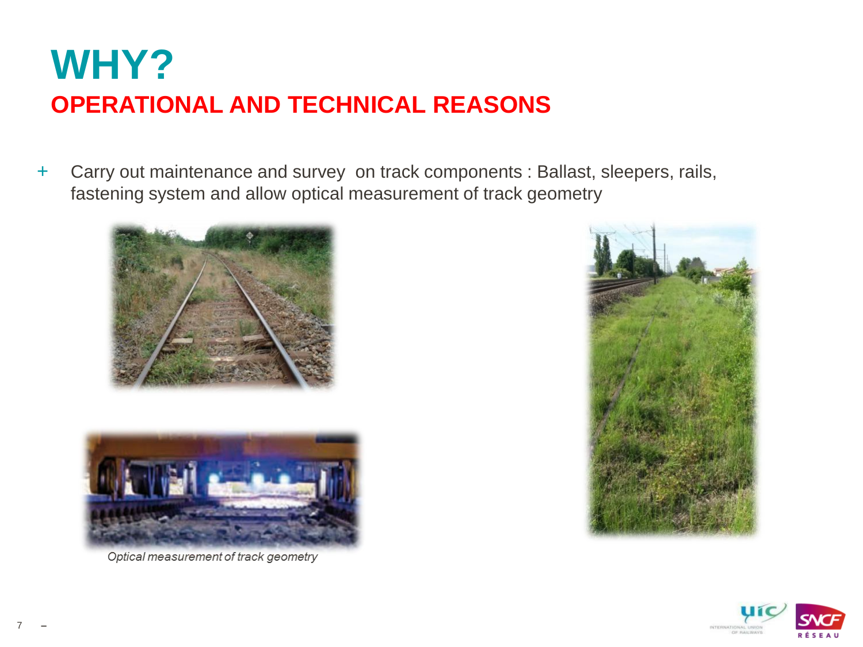## **WHY? OPERATIONAL AND TECHNICAL REASONS**

+ Carry out maintenance and survey on track components : Ballast, sleepers, rails, fastening system and allow optical measurement of track geometry





Optical measurement of track geometry



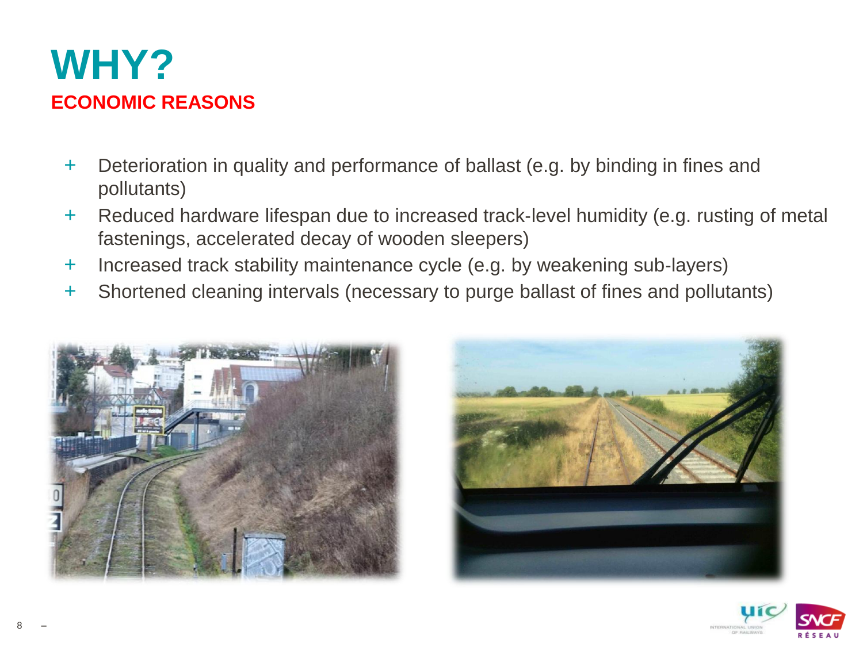

- + Deterioration in quality and performance of ballast (e.g. by binding in fines and pollutants)
- + Reduced hardware lifespan due to increased track‐level humidity (e.g. rusting of metal fastenings, accelerated decay of wooden sleepers)
- + Increased track stability maintenance cycle (e.g. by weakening sub‐layers)
- + Shortened cleaning intervals (necessary to purge ballast of fines and pollutants)







**–**